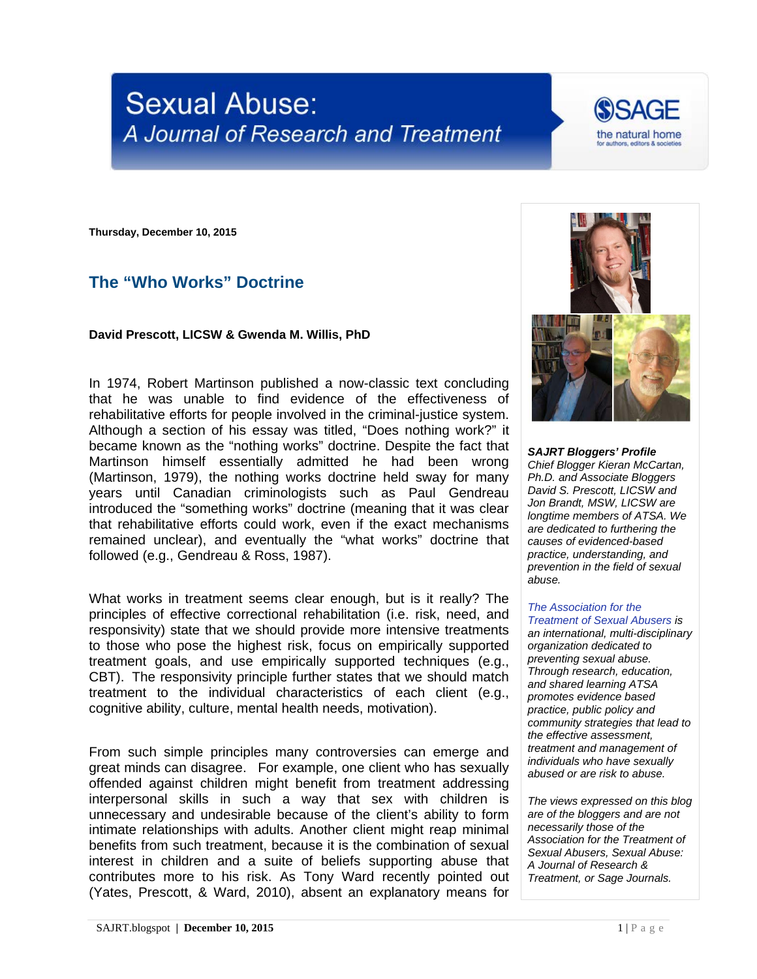# **Sexual Abuse:** A Journal of Research and Treatment



**Thursday, December 10, 2015**

## **The "Who Works" Doctrine**

#### **David Prescott, LICSW & Gwenda M. Willis, PhD**

In 1974, Robert Martinson published a now-classic text concluding that he was unable to find evidence of the effectiveness of rehabilitative efforts for people involved in the criminal-justice system. Although a section of his essay was titled, "Does nothing work?" it became known as the "nothing works" doctrine. Despite the fact that Martinson himself essentially admitted he had been wrong (Martinson, 1979), the nothing works doctrine held sway for many years until Canadian criminologists such as Paul Gendreau introduced the "something works" doctrine (meaning that it was clear that rehabilitative efforts could work, even if the exact mechanisms remained unclear), and eventually the "what works" doctrine that followed (e.g., Gendreau & Ross, 1987).

What works in treatment seems clear enough, but is it really? The principles of effective correctional rehabilitation (i.e. risk, need, and responsivity) state that we should provide more intensive treatments to those who pose the highest risk, focus on empirically supported treatment goals, and use empirically supported techniques (e.g., CBT). The responsivity principle further states that we should match treatment to the individual characteristics of each client (e.g., cognitive ability, culture, mental health needs, motivation).

From such simple principles many controversies can emerge and great minds can disagree. For example, one client who has sexually offended against children might benefit from treatment addressing interpersonal skills in such a way that sex with children is unnecessary and undesirable because of the client's ability to form intimate relationships with adults. Another client might reap minimal benefits from such treatment, because it is the combination of sexual interest in children and a suite of beliefs supporting abuse that contributes more to his risk. As Tony Ward recently pointed out (Yates, Prescott, & Ward, 2010), absent an explanatory means for



*SAJRT Bloggers' Profile Chief Blogger Kieran McCartan, Ph.D. and Associate Bloggers David S. Prescott, LICSW and Jon Brandt, MSW, LICSW are longtime members of ATSA. We are dedicated to furthering the causes of evidenced-based practice, understanding, and prevention in the field of sexual abuse.*

## *[The Association for the](http://atsa.com/)*

*[Treatment of Sexual Abusers](http://atsa.com/) is an international, multi-disciplinary organization dedicated to preventing sexual abuse. Through research, education, and shared learning ATSA promotes evidence based practice, public policy and community strategies that lead to the effective assessment, treatment and management of individuals who have sexually abused or are risk to abuse.* 

*The views expressed on this blog are of the bloggers and are not necessarily those of the Association for the Treatment of Sexual Abusers, Sexual Abuse: A Journal of Research & Treatment, or Sage Journals.*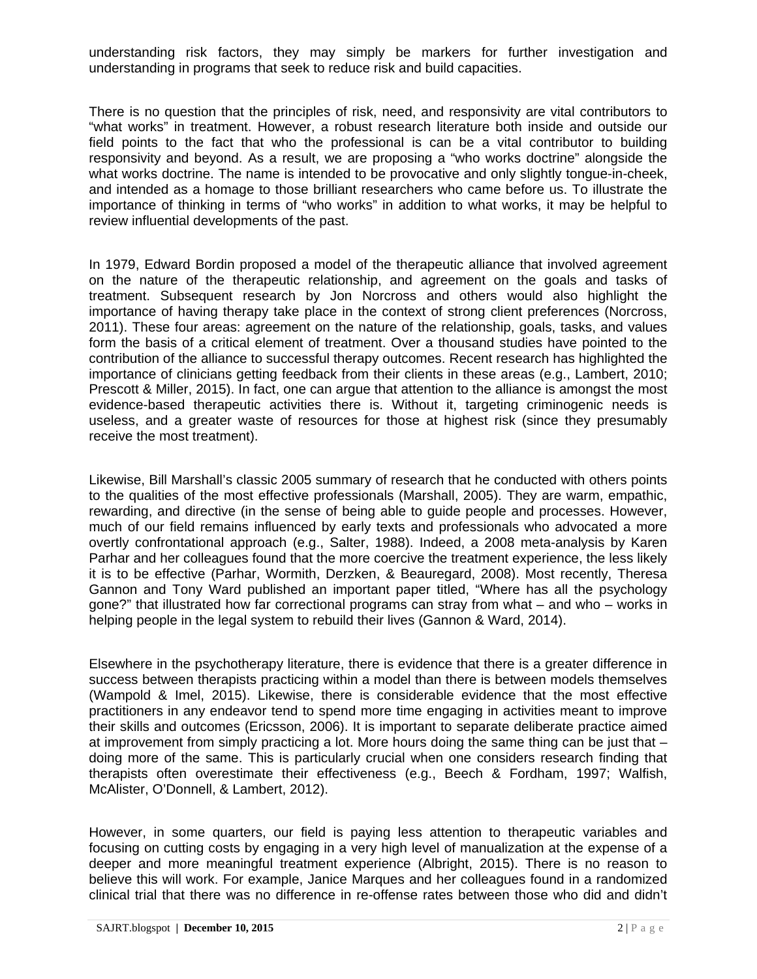understanding risk factors, they may simply be markers for further investigation and understanding in programs that seek to reduce risk and build capacities.

There is no question that the principles of risk, need, and responsivity are vital contributors to "what works" in treatment. However, a robust research literature both inside and outside our field points to the fact that who the professional is can be a vital contributor to building responsivity and beyond. As a result, we are proposing a "who works doctrine" alongside the what works doctrine. The name is intended to be provocative and only slightly tongue-in-cheek, and intended as a homage to those brilliant researchers who came before us. To illustrate the importance of thinking in terms of "who works" in addition to what works, it may be helpful to review influential developments of the past.

In 1979, Edward Bordin proposed a model of the therapeutic alliance that involved agreement on the nature of the therapeutic relationship, and agreement on the goals and tasks of treatment. Subsequent research by Jon Norcross and others would also highlight the importance of having therapy take place in the context of strong client preferences (Norcross, 2011). These four areas: agreement on the nature of the relationship, goals, tasks, and values form the basis of a critical element of treatment. Over a thousand studies have pointed to the contribution of the alliance to successful therapy outcomes. Recent research has highlighted the importance of clinicians getting feedback from their clients in these areas (e.g., Lambert, 2010; Prescott & Miller, 2015). In fact, one can argue that attention to the alliance is amongst the most evidence-based therapeutic activities there is. Without it, targeting criminogenic needs is useless, and a greater waste of resources for those at highest risk (since they presumably receive the most treatment).

Likewise, Bill Marshall's classic 2005 summary of research that he conducted with others points to the qualities of the most effective professionals (Marshall, 2005). They are warm, empathic, rewarding, and directive (in the sense of being able to guide people and processes. However, much of our field remains influenced by early texts and professionals who advocated a more overtly confrontational approach (e.g., Salter, 1988). Indeed, a 2008 meta-analysis by Karen Parhar and her colleagues found that the more coercive the treatment experience, the less likely it is to be effective (Parhar, Wormith, Derzken, & Beauregard, 2008). Most recently, Theresa Gannon and Tony Ward published an important paper titled, "Where has all the psychology gone?" that illustrated how far correctional programs can stray from what – and who – works in helping people in the legal system to rebuild their lives (Gannon & Ward, 2014).

Elsewhere in the psychotherapy literature, there is evidence that there is a greater difference in success between therapists practicing within a model than there is between models themselves (Wampold & Imel, 2015). Likewise, there is considerable evidence that the most effective practitioners in any endeavor tend to spend more time engaging in activities meant to improve their skills and outcomes (Ericsson, 2006). It is important to separate deliberate practice aimed at improvement from simply practicing a lot. More hours doing the same thing can be just that – doing more of the same. This is particularly crucial when one considers research finding that therapists often overestimate their effectiveness (e.g., Beech & Fordham, 1997; Walfish, McAlister, O'Donnell, & Lambert, 2012).

However, in some quarters, our field is paying less attention to therapeutic variables and focusing on cutting costs by engaging in a very high level of manualization at the expense of a deeper and more meaningful treatment experience (Albright, 2015). There is no reason to believe this will work. For example, Janice Marques and her colleagues found in a randomized clinical trial that there was no difference in re-offense rates between those who did and didn't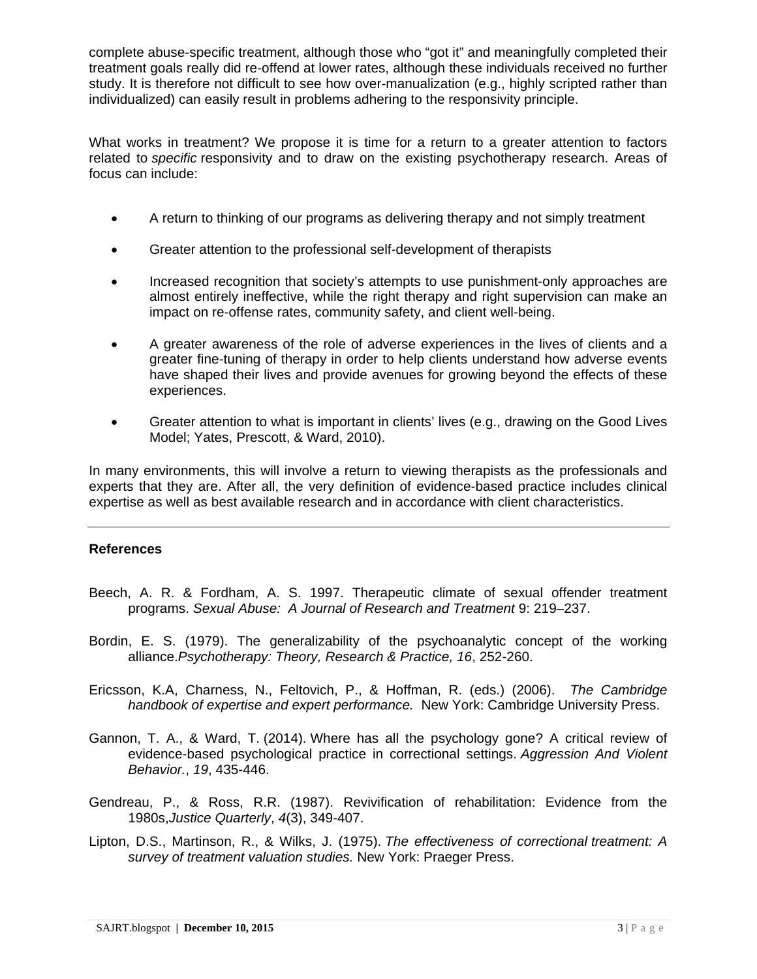complete abuse-specific treatment, although those who "got it" and meaningfully completed their treatment goals really did re-offend at lower rates, although these individuals received no further study. It is therefore not difficult to see how over-manualization (e.g., highly scripted rather than individualized) can easily result in problems adhering to the responsivity principle.

What works in treatment? We propose it is time for a return to a greater attention to factors related to *specific* responsivity and to draw on the existing psychotherapy research. Areas of focus can include:

- A return to thinking of our programs as delivering therapy and not simply treatment
- Greater attention to the professional self-development of therapists
- Increased recognition that society's attempts to use punishment-only approaches are almost entirely ineffective, while the right therapy and right supervision can make an impact on re-offense rates, community safety, and client well-being.
- A greater awareness of the role of adverse experiences in the lives of clients and a greater fine-tuning of therapy in order to help clients understand how adverse events have shaped their lives and provide avenues for growing beyond the effects of these experiences.
- Greater attention to what is important in clients' lives (e.g., drawing on the Good Lives Model; Yates, Prescott, & Ward, 2010).

In many environments, this will involve a return to viewing therapists as the professionals and experts that they are. After all, the very definition of evidence-based practice includes clinical expertise as well as best available research and in accordance with client characteristics.

### **References**

- Beech, A. R. & Fordham, A. S. 1997. Therapeutic climate of sexual offender treatment programs. *Sexual Abuse: A Journal of Research and Treatment* 9: 219–237.
- Bordin, E. S. (1979). The generalizability of the psychoanalytic concept of the working alliance.*Psychotherapy: Theory, Research & Practice, 16*, 252-260.
- Ericsson, K.A, Charness, N., Feltovich, P., & Hoffman, R. (eds.) (2006). *The Cambridge handbook of expertise and expert performance.* New York: Cambridge University Press.
- Gannon, T. A., & Ward, T. (2014). Where has all the psychology gone? A critical review of evidence-based psychological practice in correctional settings. *Aggression And Violent Behavior.*, *19*, 435-446.
- Gendreau, P., & Ross, R.R. (1987). Revivification of rehabilitation: Evidence from the 1980s,*Justice Quarterly*, *4*(3), 349-407.
- Lipton, D.S., Martinson, R., & Wilks, J. (1975). *The effectiveness of correctional treatment: A survey of treatment valuation studies.* New York: Praeger Press.